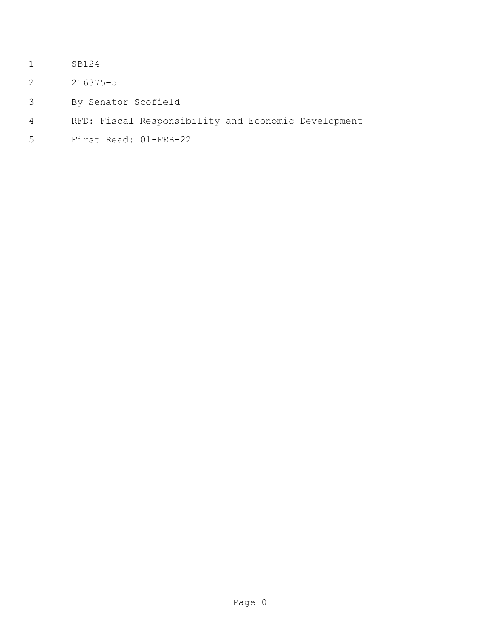- SB124
- 216375-5
- By Senator Scofield
- RFD: Fiscal Responsibility and Economic Development
- First Read: 01-FEB-22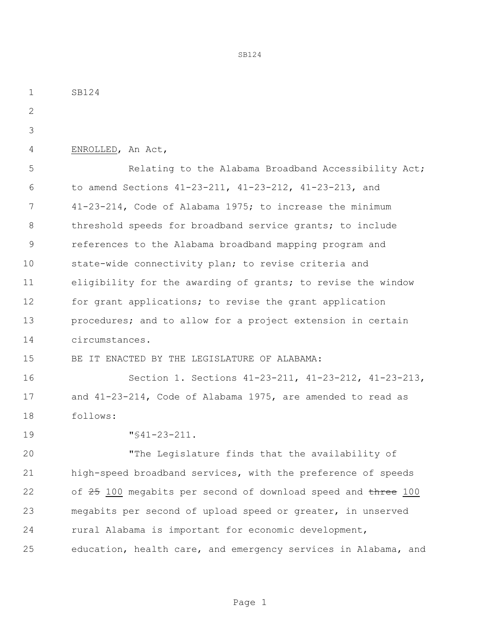SB124 ENROLLED, An Act, Relating to the Alabama Broadband Accessibility Act; to amend Sections 41-23-211, 41-23-212, 41-23-213, and 41-23-214, Code of Alabama 1975; to increase the minimum threshold speeds for broadband service grants; to include references to the Alabama broadband mapping program and state-wide connectivity plan; to revise criteria and eligibility for the awarding of grants; to revise the window 12 for grant applications; to revise the grant application 13 procedures; and to allow for a project extension in certain circumstances. BE IT ENACTED BY THE LEGISLATURE OF ALABAMA: Section 1. Sections 41-23-211, 41-23-212, 41-23-213, and 41-23-214, Code of Alabama 1975, are amended to read as follows: "§41-23-211. "The Legislature finds that the availability of high-speed broadband services, with the preference of speeds 22 of 100 megabits per second of download speed and three 100 megabits per second of upload speed or greater, in unserved rural Alabama is important for economic development, education, health care, and emergency services in Alabama, and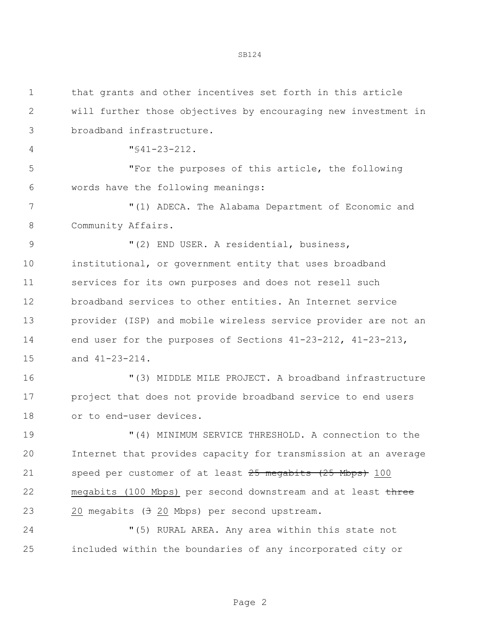| $\mathbf 1$   | that grants and other incentives set forth in this article     |
|---------------|----------------------------------------------------------------|
| $\mathbf{2}$  | will further those objectives by encouraging new investment in |
| 3             | broadband infrastructure.                                      |
| 4             | $"$ \$41-23-212.                                               |
| 5             | "For the purposes of this article, the following               |
| 6             | words have the following meanings:                             |
| 7             | "(1) ADECA. The Alabama Department of Economic and             |
| 8             | Community Affairs.                                             |
| $\mathcal{G}$ | "(2) END USER. A residential, business,                        |
| 10            | institutional, or government entity that uses broadband        |
| 11            | services for its own purposes and does not resell such         |
| 12            | broadband services to other entities. An Internet service      |
| 13            | provider (ISP) and mobile wireless service provider are not an |
| 14            | end user for the purposes of Sections 41-23-212, 41-23-213,    |
| 15            | and 41-23-214.                                                 |
| 16            | "(3) MIDDLE MILE PROJECT. A broadband infrastructure           |
| 17            | project that does not provide broadband service to end users   |
| 18            | or to end-user devices.                                        |
| 19            | "(4) MINIMUM SERVICE THRESHOLD. A connection to the            |
| 20            | Internet that provides capacity for transmission at an average |
| 21            | speed per customer of at least 25 megabits (25 Mbps) 100       |
| 22            | megabits (100 Mbps) per second downstream and at least three   |
| 23            | 20 megabits $(3\ 20\ \text{Mbps})$ per second upstream.        |
| 24            | "(5) RURAL AREA. Any area within this state not                |
| 25            | included within the boundaries of any incorporated city or     |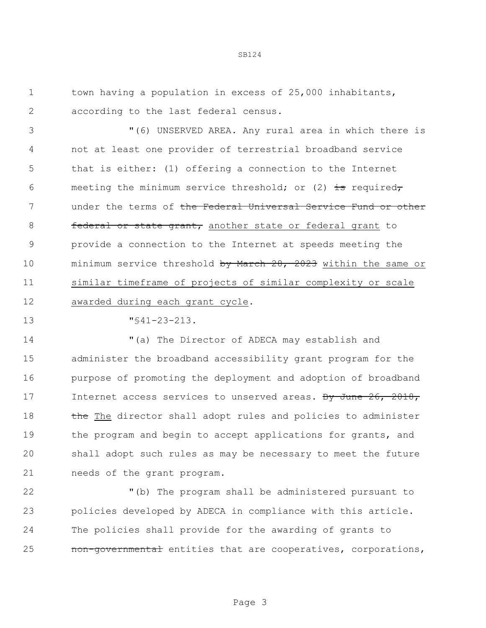town having a population in excess of 25,000 inhabitants, according to the last federal census.

 "(6) UNSERVED AREA. Any rural area in which there is not at least one provider of terrestrial broadband service that is either: (1) offering a connection to the Internet 6 meeting the minimum service threshold; or (2)  $\pm$ s required, 7 ander the terms of the Federal Universal Service Fund or other **federal or state grant,** another state or federal grant to provide a connection to the Internet at speeds meeting the 10 minimum service threshold by March 28, 2023 within the same or similar timeframe of projects of similar complexity or scale awarded during each grant cycle.

"§41-23-213.

 "(a) The Director of ADECA may establish and administer the broadband accessibility grant program for the purpose of promoting the deployment and adoption of broadband 17 Internet access services to unserved areas. By June 26, 2018, 18 the The director shall adopt rules and policies to administer 19 the program and begin to accept applications for grants, and shall adopt such rules as may be necessary to meet the future needs of the grant program.

 "(b) The program shall be administered pursuant to policies developed by ADECA in compliance with this article. The policies shall provide for the awarding of grants to 25 mon-governmental entities that are cooperatives, corporations,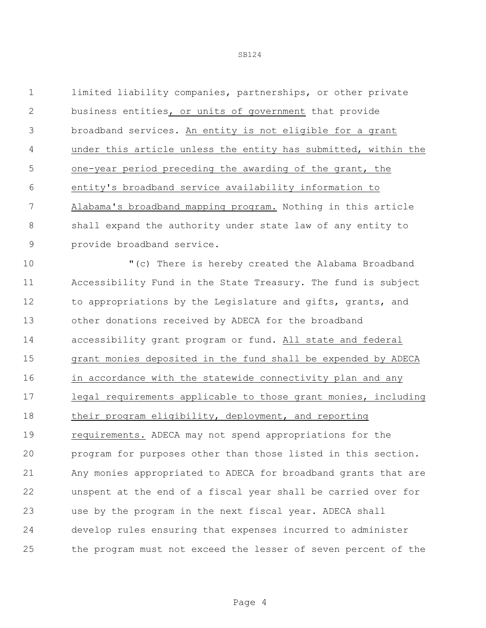limited liability companies, partnerships, or other private business entities, or units of government that provide broadband services. An entity is not eligible for a grant under this article unless the entity has submitted, within the one-year period preceding the awarding of the grant, the entity's broadband service availability information to Alabama's broadband mapping program. Nothing in this article shall expand the authority under state law of any entity to provide broadband service.

 "(c) There is hereby created the Alabama Broadband Accessibility Fund in the State Treasury. The fund is subject 12 to appropriations by the Legislature and gifts, grants, and other donations received by ADECA for the broadband accessibility grant program or fund. All state and federal grant monies deposited in the fund shall be expended by ADECA 16 in accordance with the statewide connectivity plan and any legal requirements applicable to those grant monies, including their program eligibility, deployment, and reporting requirements. ADECA may not spend appropriations for the program for purposes other than those listed in this section. Any monies appropriated to ADECA for broadband grants that are unspent at the end of a fiscal year shall be carried over for use by the program in the next fiscal year. ADECA shall develop rules ensuring that expenses incurred to administer the program must not exceed the lesser of seven percent of the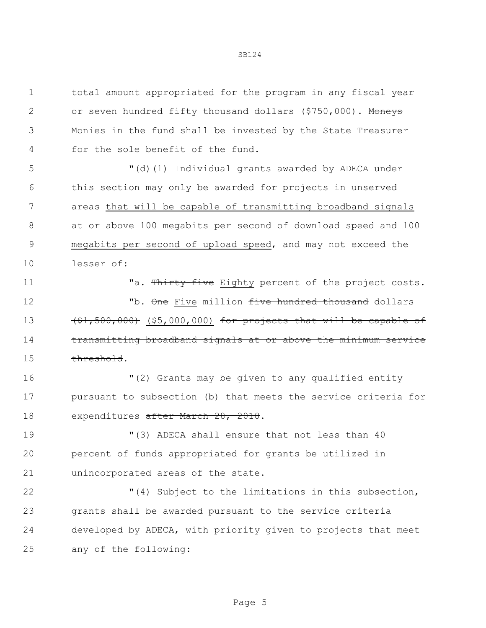| $\mathbf 1$   | total amount appropriated for the program in any fiscal year        |
|---------------|---------------------------------------------------------------------|
| 2             | or seven hundred fifty thousand dollars (\$750,000). Moneys         |
| 3             | Monies in the fund shall be invested by the State Treasurer         |
| 4             | for the sole benefit of the fund.                                   |
| 5             | "(d)(1) Individual grants awarded by ADECA under                    |
| 6             | this section may only be awarded for projects in unserved           |
| 7             | areas that will be capable of transmitting broadband signals        |
| 8             | at or above 100 megabits per second of download speed and 100       |
| $\mathcal{G}$ | megabits per second of upload speed, and may not exceed the         |
| 10            | lesser of:                                                          |
| 11            | "a. Thirty-five Eighty percent of the project costs.                |
| 12            | "b. One Five million five hundred thousand dollars                  |
| 13            | $(51, 500, 000)$ (\$5,000,000) for projects that will be capable of |
| 14            | transmitting broadband signals at or above the minimum service      |
| 15            | threshold.                                                          |
| 16            | "(2) Grants may be given to any qualified entity                    |
| 17            | pursuant to subsection (b) that meets the service criteria for      |
| 18            | expenditures after March 28, 2018.                                  |
| 19            | "(3) ADECA shall ensure that not less than 40                       |
| 20            | percent of funds appropriated for grants be utilized in             |
| 21            | unincorporated areas of the state.                                  |
| 22            | "(4) Subject to the limitations in this subsection,                 |
| 23            | grants shall be awarded pursuant to the service criteria            |
| 24            | developed by ADECA, with priority given to projects that meet       |
| 25            | any of the following:                                               |
|               |                                                                     |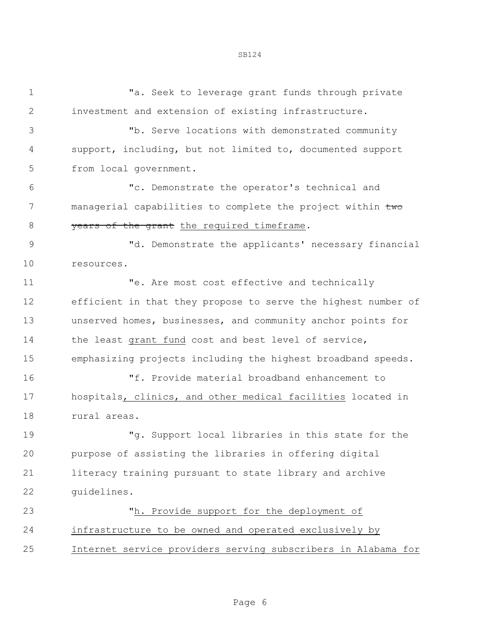1 Ta. Seek to leverage grant funds through private investment and extension of existing infrastructure. "b. Serve locations with demonstrated community support, including, but not limited to, documented support from local government. "c. Demonstrate the operator's technical and 7 managerial capabilities to complete the project within two 8 years of the grant the required timeframe. "d. Demonstrate the applicants' necessary financial resources. 11 The Me. Are most cost effective and technically efficient in that they propose to serve the highest number of unserved homes, businesses, and community anchor points for 14 the least grant fund cost and best level of service, emphasizing projects including the highest broadband speeds. "f. Provide material broadband enhancement to hospitals, clinics, and other medical facilities located in rural areas. "g. Support local libraries in this state for the purpose of assisting the libraries in offering digital literacy training pursuant to state library and archive guidelines. "h. Provide support for the deployment of infrastructure to be owned and operated exclusively by Internet service providers serving subscribers in Alabama for

Page 6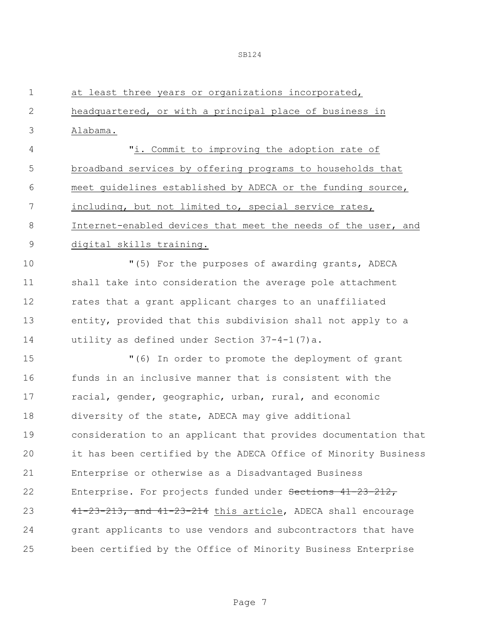| $\mathbf 1$   | at least three years or organizations incorporated,            |
|---------------|----------------------------------------------------------------|
| 2             | headquartered, or with a principal place of business in        |
| 3             | Alabama.                                                       |
| 4             | "i. Commit to improving the adoption rate of                   |
| 5             | broadband services by offering programs to households that     |
| 6             | meet quidelines established by ADECA or the funding source,    |
| 7             | including, but not limited to, special service rates,          |
| 8             | Internet-enabled devices that meet the needs of the user, and  |
| $\mathcal{G}$ | digital skills training.                                       |
| 10            | "(5) For the purposes of awarding grants, ADECA                |
| 11            | shall take into consideration the average pole attachment      |
| 12            | rates that a grant applicant charges to an unaffiliated        |
| 13            | entity, provided that this subdivision shall not apply to a    |
| 14            | utility as defined under Section 37-4-1(7)a.                   |
| 15            | "(6) In order to promote the deployment of grant               |
| 16            | funds in an inclusive manner that is consistent with the       |
| 17            | racial, gender, geographic, urban, rural, and economic         |
| 18            | diversity of the state, ADECA may give additional              |
| 19            | consideration to an applicant that provides documentation that |
| 20            | it has been certified by the ADECA Office of Minority Business |
| 21            | Enterprise or otherwise as a Disadvantaged Business            |
| 22            | Enterprise. For projects funded under Sections 41-23-212,      |
| 23            | 41-23-213, and 41-23-214 this article, ADECA shall encourage   |
| 24            | grant applicants to use vendors and subcontractors that have   |
| 25            | been certified by the Office of Minority Business Enterprise   |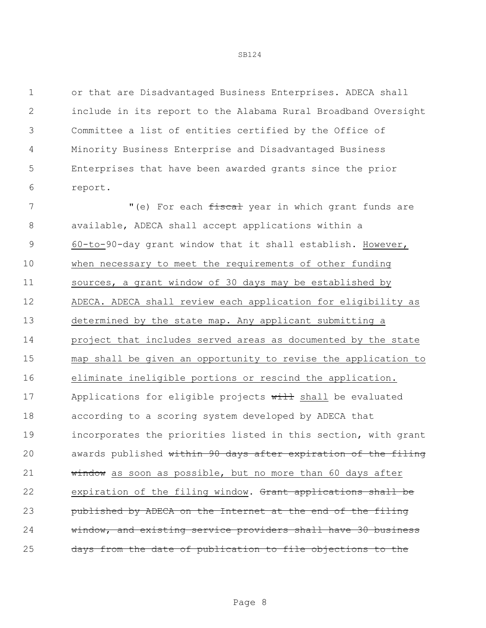or that are Disadvantaged Business Enterprises. ADECA shall include in its report to the Alabama Rural Broadband Oversight Committee a list of entities certified by the Office of Minority Business Enterprise and Disadvantaged Business Enterprises that have been awarded grants since the prior report.

7 The M<sub>I</sub> (e) For each fiscal year in which grant funds are available, ADECA shall accept applications within a 60-to-90-day grant window that it shall establish. However, when necessary to meet the requirements of other funding sources, a grant window of 30 days may be established by ADECA. ADECA shall review each application for eligibility as determined by the state map. Any applicant submitting a project that includes served areas as documented by the state map shall be given an opportunity to revise the application to eliminate ineligible portions or rescind the application. 17 Applications for eligible projects will shall be evaluated according to a scoring system developed by ADECA that incorporates the priorities listed in this section, with grant 20 awards published within 90 days after expiration of the filing 21 window as soon as possible, but no more than 60 days after 22 expiration of the filing window. Grant applications shall be published by ADECA on the Internet at the end of the filing window, and existing service providers shall have 30 business 25 days from the date of publication to file objections to the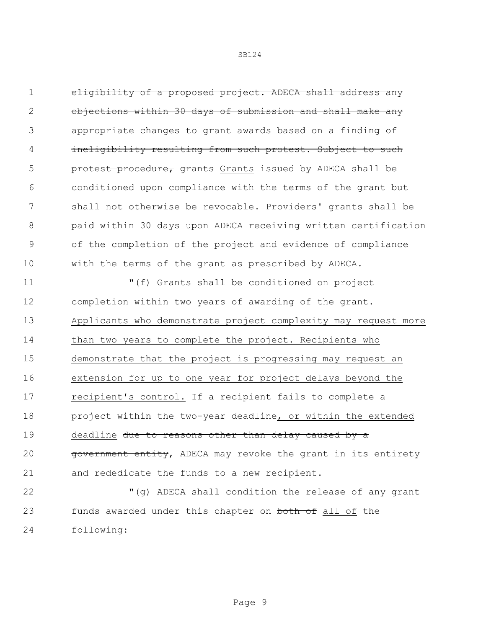eligibility of a proposed project. ADECA shall address any objections within 30 days of submission and shall make any appropriate changes to grant awards based on a finding of ineligibility resulting from such protest. Subject to such **protest procedure, grants** Grants issued by ADECA shall be conditioned upon compliance with the terms of the grant but shall not otherwise be revocable. Providers' grants shall be paid within 30 days upon ADECA receiving written certification of the completion of the project and evidence of compliance with the terms of the grant as prescribed by ADECA.

 "(f) Grants shall be conditioned on project completion within two years of awarding of the grant. Applicants who demonstrate project complexity may request more 14 than two years to complete the project. Recipients who demonstrate that the project is progressing may request an extension for up to one year for project delays beyond the recipient's control. If a recipient fails to complete a project within the two-year deadline, or within the extended 19 deadline due to reasons other than delay caused by a 20 government entity, ADECA may revoke the grant in its entirety and rededicate the funds to a new recipient.

 "(g) ADECA shall condition the release of any grant 23 funds awarded under this chapter on both of all of the following: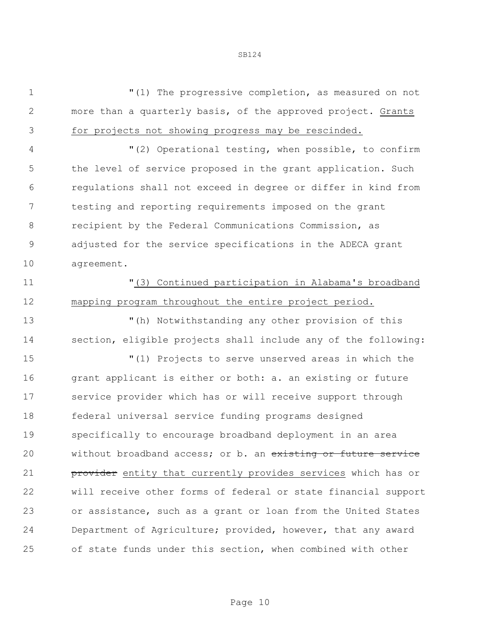"(1) The progressive completion, as measured on not more than a quarterly basis, of the approved project. Grants

for projects not showing progress may be rescinded.

 "(2) Operational testing, when possible, to confirm the level of service proposed in the grant application. Such regulations shall not exceed in degree or differ in kind from testing and reporting requirements imposed on the grant recipient by the Federal Communications Commission, as adjusted for the service specifications in the ADECA grant agreement.

## "(3) Continued participation in Alabama's broadband mapping program throughout the entire project period.

 "(h) Notwithstanding any other provision of this section, eligible projects shall include any of the following:

 "(1) Projects to serve unserved areas in which the 16 grant applicant is either or both: a. an existing or future service provider which has or will receive support through federal universal service funding programs designed specifically to encourage broadband deployment in an area 20 without broadband access; or b. an existing or future service **provider** entity that currently provides services which has or will receive other forms of federal or state financial support or assistance, such as a grant or loan from the United States Department of Agriculture; provided, however, that any award of state funds under this section, when combined with other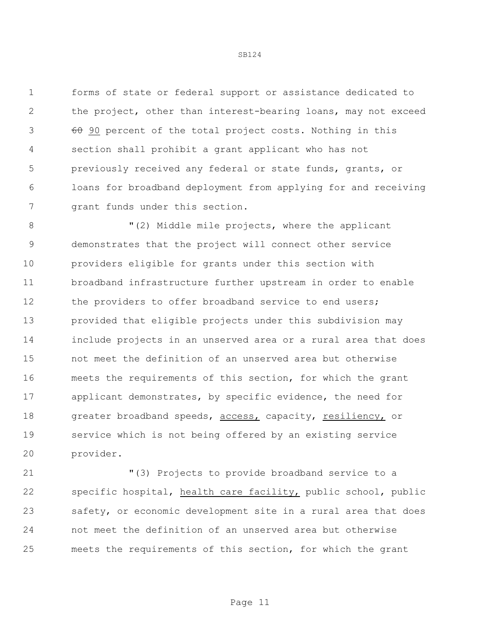forms of state or federal support or assistance dedicated to the project, other than interest-bearing loans, may not exceed 3 60 90 percent of the total project costs. Nothing in this section shall prohibit a grant applicant who has not previously received any federal or state funds, grants, or loans for broadband deployment from applying for and receiving grant funds under this section.

8 "(2) Middle mile projects, where the applicant demonstrates that the project will connect other service providers eligible for grants under this section with broadband infrastructure further upstream in order to enable 12 the providers to offer broadband service to end users; provided that eligible projects under this subdivision may include projects in an unserved area or a rural area that does not meet the definition of an unserved area but otherwise meets the requirements of this section, for which the grant applicant demonstrates, by specific evidence, the need for 18 greater broadband speeds, access, capacity, resiliency, or service which is not being offered by an existing service provider.

 "(3) Projects to provide broadband service to a specific hospital, health care facility, public school, public safety, or economic development site in a rural area that does not meet the definition of an unserved area but otherwise meets the requirements of this section, for which the grant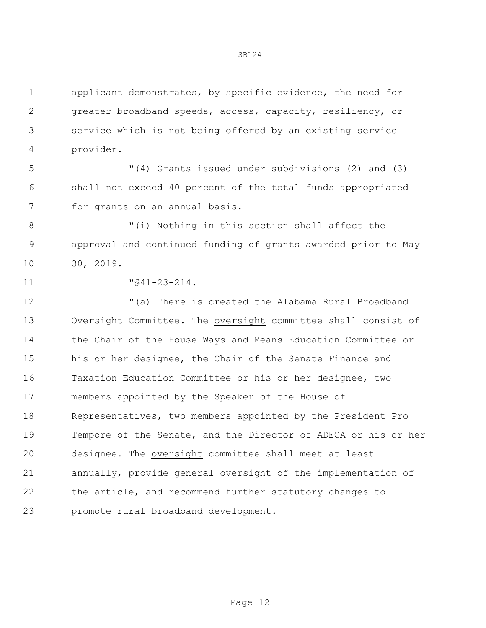applicant demonstrates, by specific evidence, the need for greater broadband speeds, access, capacity, resiliency, or service which is not being offered by an existing service provider.

 "(4) Grants issued under subdivisions (2) and (3) shall not exceed 40 percent of the total funds appropriated for grants on an annual basis.

8  $''(i)$  Nothing in this section shall affect the approval and continued funding of grants awarded prior to May 30, 2019.

"§41-23-214.

 "(a) There is created the Alabama Rural Broadband Oversight Committee. The oversight committee shall consist of the Chair of the House Ways and Means Education Committee or his or her designee, the Chair of the Senate Finance and Taxation Education Committee or his or her designee, two members appointed by the Speaker of the House of Representatives, two members appointed by the President Pro Tempore of the Senate, and the Director of ADECA or his or her designee. The oversight committee shall meet at least annually, provide general oversight of the implementation of the article, and recommend further statutory changes to promote rural broadband development.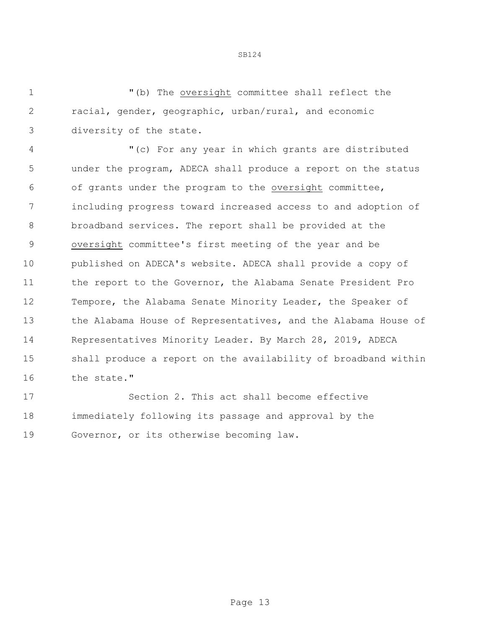"(b) The oversight committee shall reflect the racial, gender, geographic, urban/rural, and economic diversity of the state.

 "(c) For any year in which grants are distributed under the program, ADECA shall produce a report on the status of grants under the program to the oversight committee, including progress toward increased access to and adoption of broadband services. The report shall be provided at the oversight committee's first meeting of the year and be published on ADECA's website. ADECA shall provide a copy of the report to the Governor, the Alabama Senate President Pro 12 Tempore, the Alabama Senate Minority Leader, the Speaker of 13 the Alabama House of Representatives, and the Alabama House of Representatives Minority Leader. By March 28, 2019, ADECA shall produce a report on the availability of broadband within the state."

 Section 2. This act shall become effective immediately following its passage and approval by the Governor, or its otherwise becoming law.